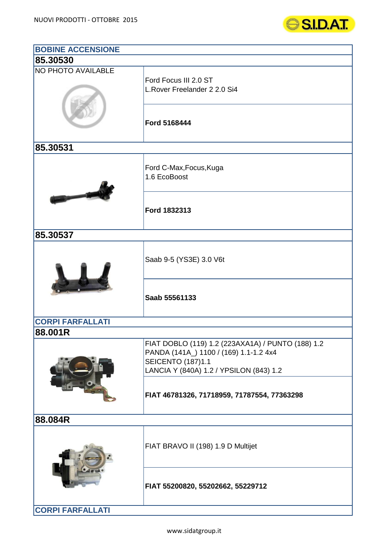

| <b>BOBINE ACCENSIONE</b>  |                                                                                                                                                                    |
|---------------------------|--------------------------------------------------------------------------------------------------------------------------------------------------------------------|
| 85.30530                  |                                                                                                                                                                    |
| <b>NO PHOTO AVAILABLE</b> | Ford Focus III 2.0 ST<br>L. Rover Freelander 2 2.0 Si4                                                                                                             |
|                           | Ford 5168444                                                                                                                                                       |
| 85.30531                  |                                                                                                                                                                    |
|                           | Ford C-Max, Focus, Kuga<br>1.6 EcoBoost                                                                                                                            |
|                           | Ford 1832313                                                                                                                                                       |
| 85.30537                  |                                                                                                                                                                    |
|                           | Saab 9-5 (YS3E) 3.0 V6t                                                                                                                                            |
|                           | Saab 55561133                                                                                                                                                      |
| <b>CORPI FARFALLATI</b>   |                                                                                                                                                                    |
| 88.001R                   | FIAT DOBLO (119) 1.2 (223AXA1A) / PUNTO (188) 1.2<br>PANDA (141A_) 1100 / (169) 1.1-1.2 4x4<br><b>SEICENTO (187)1.1</b><br>LANCIA Y (840A) 1.2 / YPSILON (843) 1.2 |
|                           | FIAT 46781326, 71718959, 71787554, 77363298                                                                                                                        |
| 88.084R                   |                                                                                                                                                                    |
|                           | FIAT BRAVO II (198) 1.9 D Multijet                                                                                                                                 |
|                           | FIAT 55200820, 55202662, 55229712                                                                                                                                  |
| <b>CORPI FARFALLATI</b>   |                                                                                                                                                                    |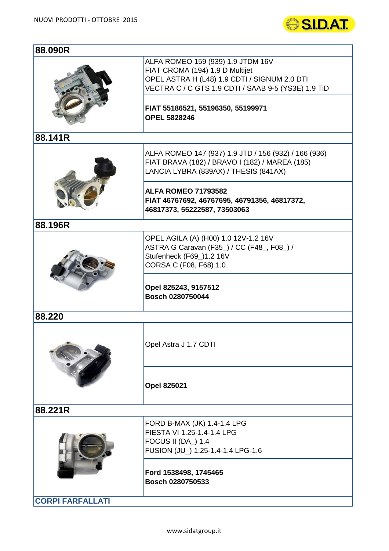

| 88.090R                 |                                                                                                                                                                                                                                         |
|-------------------------|-----------------------------------------------------------------------------------------------------------------------------------------------------------------------------------------------------------------------------------------|
|                         | ALFA ROMEO 159 (939) 1.9 JTDM 16V<br>FIAT CROMA (194) 1.9 D Multijet<br>OPEL ASTRA H (L48) 1.9 CDTI / SIGNUM 2.0 DTI<br>VECTRA C / C GTS 1.9 CDTI / SAAB 9-5 (YS3E) 1.9 TiD<br>FIAT 55186521, 55196350, 55199971<br><b>OPEL 5828246</b> |
| 88.141R                 |                                                                                                                                                                                                                                         |
|                         | ALFA ROMEO 147 (937) 1.9 JTD / 156 (932) / 166 (936)<br>FIAT BRAVA (182) / BRAVO I (182) / MAREA (185)<br>LANCIA LYBRA (839AX) / THESIS (841AX)                                                                                         |
|                         | <b>ALFA ROMEO 71793582</b><br>FIAT 46767692, 46767695, 46791356, 46817372,<br>46817373, 55222587, 73503063                                                                                                                              |
| 88.196R                 |                                                                                                                                                                                                                                         |
|                         | OPEL AGILA (A) (H00) 1.0 12V-1.2 16V<br>ASTRA G Caravan (F35_) / CC (F48_, F08_) /<br>Stufenheck (F69_)1.2 16V<br>CORSA C (F08, F68) 1.0<br>Opel 825243, 9157512<br>Bosch 0280750044                                                    |
| 88.220                  |                                                                                                                                                                                                                                         |
|                         | Opel Astra J 1.7 CDTI                                                                                                                                                                                                                   |
|                         | <b>Opel 825021</b>                                                                                                                                                                                                                      |
| 88.221R                 |                                                                                                                                                                                                                                         |
|                         | FORD B-MAX (JK) 1.4-1.4 LPG<br>FIESTA VI 1.25-1.4-1.4 LPG<br><b>FOCUS II (DA_) 1.4</b><br>FUSION (JU_) 1.25-1.4-1.4 LPG-1.6                                                                                                             |
|                         | Ford 1538498, 1745465<br>Bosch 0280750533                                                                                                                                                                                               |
| <b>CORPI FARFALLATI</b> |                                                                                                                                                                                                                                         |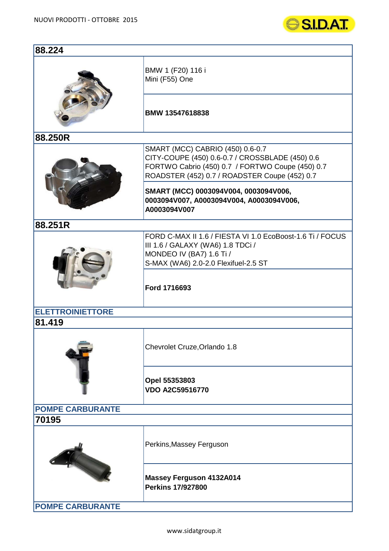

| 88.224                  |                                                                                                                                                                                          |  |
|-------------------------|------------------------------------------------------------------------------------------------------------------------------------------------------------------------------------------|--|
|                         | BMW 1 (F20) 116 i<br>Mini (F55) One                                                                                                                                                      |  |
|                         | BMW 13547618838                                                                                                                                                                          |  |
| 88.250R                 |                                                                                                                                                                                          |  |
|                         | SMART (MCC) CABRIO (450) 0.6-0.7<br>CITY-COUPE (450) 0.6-0.7 / CROSSBLADE (450) 0.6<br>FORTWO Cabrio (450) 0.7 / FORTWO Coupe (450) 0.7<br>ROADSTER (452) 0.7 / ROADSTER Coupe (452) 0.7 |  |
|                         | SMART (MCC) 0003094V004, 0003094V006,<br>0003094V007, A0003094V004, A0003094V006,<br>A0003094V007                                                                                        |  |
| 88.251R                 |                                                                                                                                                                                          |  |
|                         | FORD C-MAX II 1.6 / FIESTA VI 1.0 EcoBoost-1.6 Ti / FOCUS<br>III 1.6 / GALAXY (WA6) 1.8 TDCi /<br>MONDEO IV (BA7) 1.6 Ti /<br>S-MAX (WA6) 2.0-2.0 Flexifuel-2.5 ST                       |  |
|                         | Ford 1716693                                                                                                                                                                             |  |
| <b>ELETTROINIETTORE</b> |                                                                                                                                                                                          |  |
| 81.419                  |                                                                                                                                                                                          |  |
|                         | Chevrolet Cruze, Orlando 1.8                                                                                                                                                             |  |
|                         | Opel 55353803<br><b>VDO A2C59516770</b>                                                                                                                                                  |  |
| <b>POMPE CARBURANTE</b> |                                                                                                                                                                                          |  |
| 70195                   |                                                                                                                                                                                          |  |
|                         | Perkins, Massey Ferguson                                                                                                                                                                 |  |
|                         | <b>Massey Ferguson 4132A014</b><br><b>Perkins 17/927800</b>                                                                                                                              |  |
| <b>POMPE CARBURANTE</b> |                                                                                                                                                                                          |  |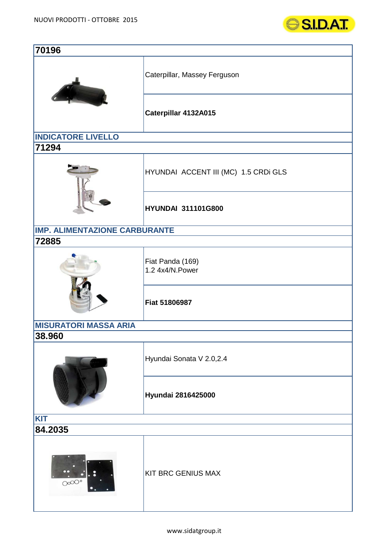

| 70196                                |                                      |  |
|--------------------------------------|--------------------------------------|--|
|                                      | Caterpillar, Massey Ferguson         |  |
|                                      | Caterpillar 4132A015                 |  |
| <b>INDICATORE LIVELLO</b>            |                                      |  |
| 71294                                |                                      |  |
|                                      | HYUNDAI ACCENT III (MC) 1.5 CRDi GLS |  |
|                                      | <b>HYUNDAI 311101G800</b>            |  |
| <b>IMP. ALIMENTAZIONE CARBURANTE</b> |                                      |  |
| 72885                                |                                      |  |
|                                      | Fiat Panda (169)<br>1.2 4x4/N.Power  |  |
|                                      | Fiat 51806987                        |  |
| <b>MISURATORI MASSA ARIA</b>         |                                      |  |
| 38.960                               |                                      |  |
|                                      | Hyundai Sonata V 2.0,2.4             |  |
|                                      | Hyundai 2816425000                   |  |
| <b>KIT</b>                           |                                      |  |
| 84.2035                              |                                      |  |
| O <sup>o</sup>                       | <b>KIT BRC GENIUS MAX</b>            |  |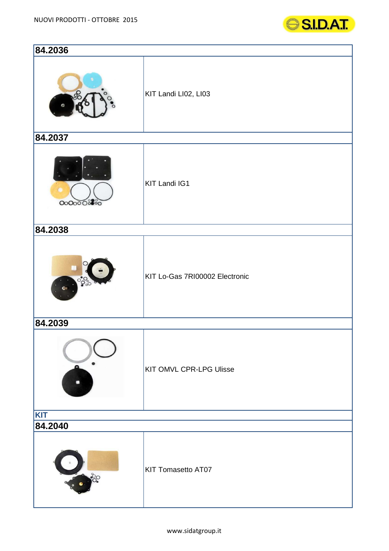

| 84.2036                      |                                |
|------------------------------|--------------------------------|
|                              | KIT Landi LI02, LI03           |
| 84.2037                      |                                |
| 0000008800                   | <b>KIT Landi IG1</b>           |
| 84.2038                      |                                |
| $^{\circ}$<br>6 <sub>1</sub> | KIT Lo-Gas 7RI00002 Electronic |
| 84.2039                      |                                |
|                              | KIT OMVL CPR-LPG Ulisse        |
| <b>KIT</b><br>84.2040        |                                |
|                              | <b>KIT Tomasetto AT07</b>      |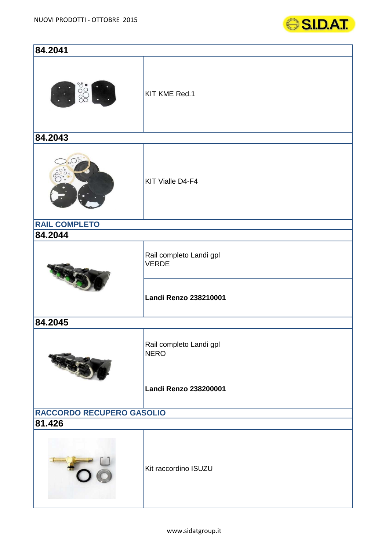

| 84.2041                   |                                         |  |
|---------------------------|-----------------------------------------|--|
|                           | KIT KME Red.1                           |  |
| 84.2043                   |                                         |  |
|                           | KIT Vialle D4-F4                        |  |
| <b>RAIL COMPLETO</b>      |                                         |  |
| 84.2044                   |                                         |  |
|                           | Rail completo Landi gpl<br><b>VERDE</b> |  |
|                           | Landi Renzo 238210001                   |  |
| 84.2045                   |                                         |  |
|                           | Rail completo Landi gpl<br><b>NERO</b>  |  |
|                           | Landi Renzo 238200001                   |  |
| RACCORDO RECUPERO GASOLIO |                                         |  |
| 81.426                    |                                         |  |
|                           | Kit raccordino ISUZU                    |  |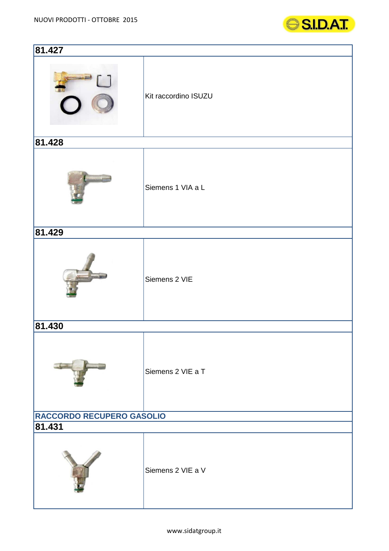

| 81.427                    |                      |  |
|---------------------------|----------------------|--|
|                           | Kit raccordino ISUZU |  |
| 81.428                    |                      |  |
|                           | Siemens 1 VIA a L    |  |
| 81.429                    |                      |  |
|                           | Siemens 2 VIE        |  |
| 81.430                    |                      |  |
|                           | Siemens 2 VIE a T    |  |
| RACCORDO RECUPERO GASOLIO |                      |  |
| 81.431                    |                      |  |
|                           | Siemens 2 VIE a V    |  |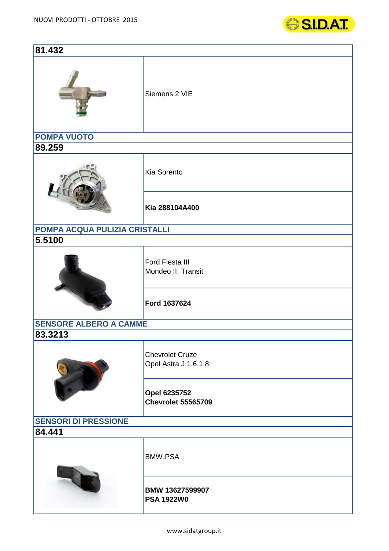

| 81.432                        |                                                |  |
|-------------------------------|------------------------------------------------|--|
|                               | Siemens 2 VIE                                  |  |
| <b>POMPA VUOTO</b>            |                                                |  |
| 89.259                        |                                                |  |
|                               | Kia Sorento                                    |  |
|                               | Kia 288104A400                                 |  |
| POMPA ACQUA PULIZIA CRISTALLI |                                                |  |
| 5.5100                        |                                                |  |
|                               | Ford Fiesta III<br>Mondeo II, Transit          |  |
|                               | Ford 1637624                                   |  |
| <b>SENSORE ALBERO A CAMME</b> |                                                |  |
| 83.3213                       |                                                |  |
|                               | <b>Chevrolet Cruze</b><br>Opel Astra J 1.6,1.8 |  |
|                               | Opel 6235752<br><b>Chevrolet 55565709</b>      |  |
| <b>SENSORI DI PRESSIONE</b>   |                                                |  |
| 84.441                        |                                                |  |
|                               | BMW, PSA                                       |  |
|                               | BMW 13627599907<br><b>PSA 1922W0</b>           |  |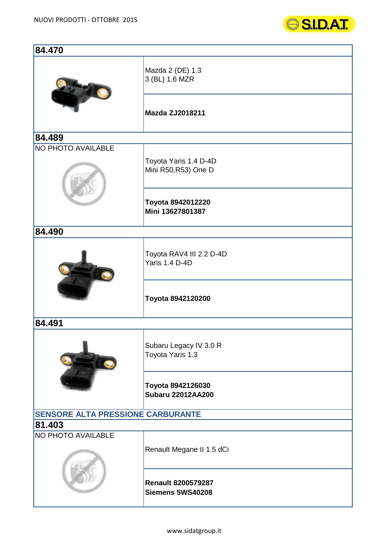

| 84.470                                   |                                               |  |
|------------------------------------------|-----------------------------------------------|--|
|                                          | Mazda 2 (DE) 1.3<br>3 (BL) 1.6 MZR            |  |
|                                          | <b>Mazda ZJ2018211</b>                        |  |
| 84.489                                   |                                               |  |
| NO PHOTO AVAILABLE                       | Toyota Yaris 1.4 D-4D<br>Mini R50, R53) One D |  |
|                                          | Toyota 8942012220<br>Mini 13627801387         |  |
| 84.490                                   |                                               |  |
|                                          | Toyota RAV4 III 2.2 D-4D<br>Yaris 1.4 D-4D    |  |
|                                          | Toyota 8942120200                             |  |
| 84.491                                   |                                               |  |
|                                          | Subaru Legacy IV 3.0 R<br>Toyota Yaris 1.3    |  |
|                                          | Toyota 8942126030<br><b>Subaru 22012AA200</b> |  |
| <b>SENSORE ALTA PRESSIONE CARBURANTE</b> |                                               |  |
| 81.403                                   |                                               |  |
| NO PHOTO AVAILABLE                       | Renault Megane II 1.5 dCi                     |  |
|                                          | <b>Renault 8200579287</b><br>Siemens 5WS40208 |  |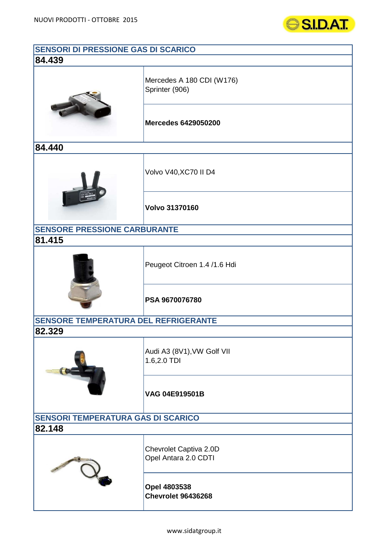

| SENSORI DI PRESSIONE GAS DI SCARICO         |                                                |  |
|---------------------------------------------|------------------------------------------------|--|
| 84.439                                      |                                                |  |
|                                             | Mercedes A 180 CDI (W176)<br>Sprinter (906)    |  |
|                                             | <b>Mercedes 6429050200</b>                     |  |
| 84.440                                      |                                                |  |
|                                             | Volvo V40, XC70 II D4                          |  |
|                                             | <b>Volvo 31370160</b>                          |  |
| <b>SENSORE PRESSIONE CARBURANTE</b>         |                                                |  |
| 81.415                                      |                                                |  |
|                                             | Peugeot Citroen 1.4 /1.6 Hdi                   |  |
|                                             | PSA 9670076780                                 |  |
| <b>SENSORE TEMPERATURA DEL REFRIGERANTE</b> |                                                |  |
| 82.329                                      |                                                |  |
|                                             | Audi A3 (8V1), VW Golf VII<br>1.6,2.0 TDI      |  |
|                                             | VAG 04E919501B                                 |  |
| <b>SENSORI TEMPERATURA GAS DI SCARICO</b>   |                                                |  |
| 82.148                                      |                                                |  |
|                                             | Chevrolet Captiva 2.0D<br>Opel Antara 2.0 CDTI |  |
|                                             | Opel 4803538<br><b>Chevrolet 96436268</b>      |  |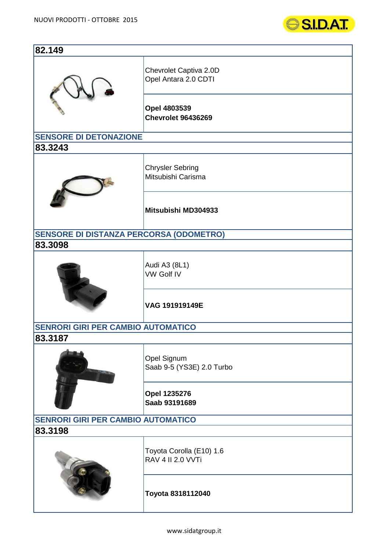

| 82.149                                         |                                                      |  |
|------------------------------------------------|------------------------------------------------------|--|
|                                                | Chevrolet Captiva 2.0D<br>Opel Antara 2.0 CDTI       |  |
|                                                | Opel 4803539<br><b>Chevrolet 96436269</b>            |  |
| <b>SENSORE DI DETONAZIONE</b>                  |                                                      |  |
| 83.3243                                        |                                                      |  |
|                                                | <b>Chrysler Sebring</b><br>Mitsubishi Carisma        |  |
|                                                | Mitsubishi MD304933                                  |  |
| <b>SENSORE DI DISTANZA PERCORSA (ODOMETRO)</b> |                                                      |  |
| 83.3098                                        |                                                      |  |
|                                                | Audi A3 (8L1)<br><b>VW Golf IV</b>                   |  |
|                                                | VAG 191919149E                                       |  |
| <b>SENRORI GIRI PER CAMBIO AUTOMATICO</b>      |                                                      |  |
| 83.3187                                        |                                                      |  |
|                                                | Opel Signum<br>Saab 9-5 (YS3E) 2.0 Turbo             |  |
|                                                | Opel 1235276<br>Saab 93191689                        |  |
| <b>SENRORI GIRI PER CAMBIO AUTOMATICO</b>      |                                                      |  |
| 83.3198                                        |                                                      |  |
|                                                | Toyota Corolla (E10) 1.6<br><b>RAV 4 II 2.0 VVTi</b> |  |
|                                                | Toyota 8318112040                                    |  |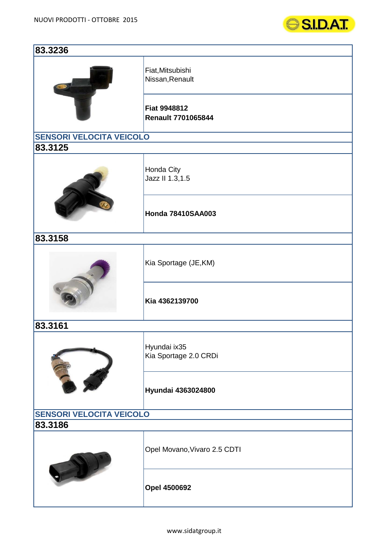

| 83.3236                         |                                                  |  |
|---------------------------------|--------------------------------------------------|--|
|                                 | Fiat, Mitsubishi<br>Nissan, Renault              |  |
|                                 | <b>Fiat 9948812</b><br><b>Renault 7701065844</b> |  |
| <b>SENSORI VELOCITA VEICOLO</b> |                                                  |  |
| 83.3125                         |                                                  |  |
|                                 | Honda City<br>Jazz II 1.3,1.5                    |  |
|                                 | <b>Honda 78410SAA003</b>                         |  |
| 83.3158                         |                                                  |  |
|                                 | Kia Sportage (JE, KM)                            |  |
|                                 | Kia 4362139700                                   |  |
| 83.3161                         |                                                  |  |
|                                 | Hyundai ix35<br>Kia Sportage 2.0 CRDi            |  |
|                                 | Hyundai 4363024800                               |  |
| <b>SENSORI VELOCITA VEICOLO</b> |                                                  |  |
| 83.3186                         |                                                  |  |
|                                 | Opel Movano, Vivaro 2.5 CDTI                     |  |
|                                 | <b>Opel 4500692</b>                              |  |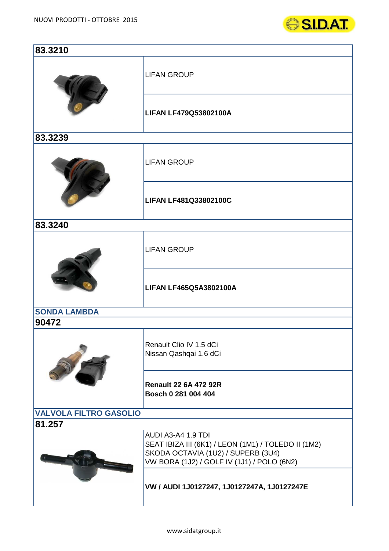

| 83.3210                       |                                                                                                                                                               |  |
|-------------------------------|---------------------------------------------------------------------------------------------------------------------------------------------------------------|--|
|                               | <b>LIFAN GROUP</b>                                                                                                                                            |  |
|                               | <b>LIFAN LF479Q53802100A</b>                                                                                                                                  |  |
| 83.3239                       |                                                                                                                                                               |  |
|                               | <b>LIFAN GROUP</b>                                                                                                                                            |  |
|                               | LIFAN LF481Q33802100C                                                                                                                                         |  |
| 83.3240                       |                                                                                                                                                               |  |
|                               | <b>LIFAN GROUP</b>                                                                                                                                            |  |
|                               | <b>LIFAN LF465Q5A3802100A</b>                                                                                                                                 |  |
| <b>SONDA LAMBDA</b>           |                                                                                                                                                               |  |
| 90472                         |                                                                                                                                                               |  |
|                               | Renault Clio IV 1.5 dCi<br>Nissan Qashqai 1.6 dCi                                                                                                             |  |
|                               | <b>Renault 22 6A 472 92R</b><br>Bosch 0 281 004 404                                                                                                           |  |
| <b>VALVOLA FILTRO GASOLIO</b> |                                                                                                                                                               |  |
| 81.257                        |                                                                                                                                                               |  |
|                               | AUDI A3-A4 1.9 TDI<br>SEAT IBIZA III (6K1) / LEON (1M1) / TOLEDO II (1M2)<br>SKODA OCTAVIA (1U2) / SUPERB (3U4)<br>VW BORA (1J2) / GOLF IV (1J1) / POLO (6N2) |  |
|                               | VW / AUDI 1J0127247, 1J0127247A, 1J0127247E                                                                                                                   |  |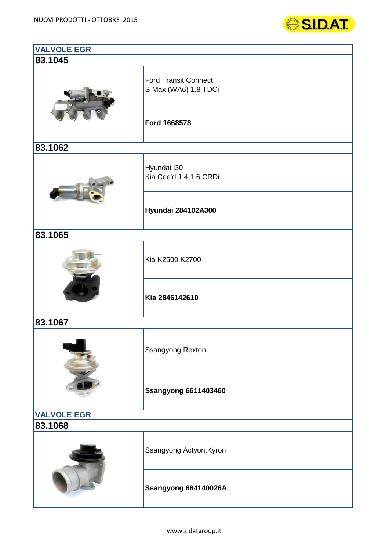

| <b>VALVOLE EGR</b> |                                                     |  |
|--------------------|-----------------------------------------------------|--|
| 83.1045            |                                                     |  |
|                    | <b>Ford Transit Connect</b><br>S-Max (WA6) 1.8 TDCi |  |
|                    | Ford 1668578                                        |  |
| 83.1062            |                                                     |  |
|                    | Hyundai i30<br>Kia Cee'd 1.4,1.6 CRDi               |  |
|                    | Hyundai 284102A300                                  |  |
| 83.1065            |                                                     |  |
|                    | Kia K2500, K2700                                    |  |
|                    | Kia 2846142610                                      |  |
| 83.1067            |                                                     |  |
|                    | <b>Ssangyong Rexton</b>                             |  |
|                    | <b>Ssangyong 6611403460</b>                         |  |
| <b>VALVOLE EGR</b> |                                                     |  |
| 83.1068            |                                                     |  |
|                    | Ssangyong Actyon, Kyron                             |  |
|                    | Ssangyong 664140026A                                |  |